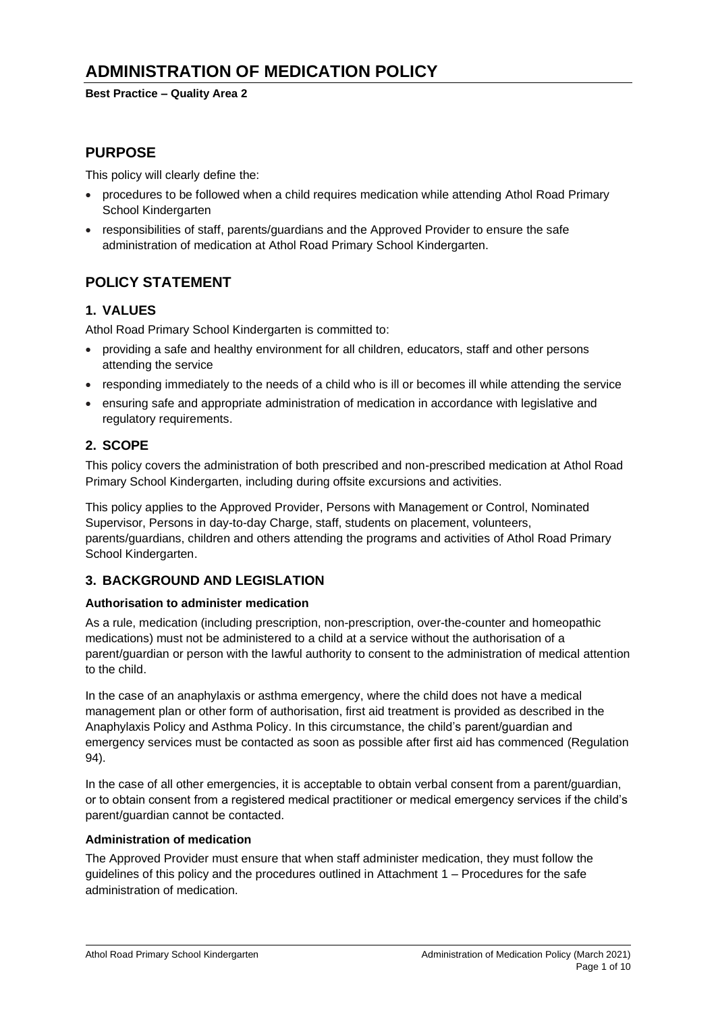# **ADMINISTRATION OF MEDICATION POLICY**

**Best Practice – Quality Area 2**

## **PURPOSE**

This policy will clearly define the:

- procedures to be followed when a child requires medication while attending Athol Road Primary School Kindergarten
- responsibilities of staff, parents/guardians and the Approved Provider to ensure the safe administration of medication at Athol Road Primary School Kindergarten.

## **POLICY STATEMENT**

### **1. VALUES**

Athol Road Primary School Kindergarten is committed to:

- providing a safe and healthy environment for all children, educators, staff and other persons attending the service
- responding immediately to the needs of a child who is ill or becomes ill while attending the service
- ensuring safe and appropriate administration of medication in accordance with legislative and regulatory requirements.

### **2. SCOPE**

This policy covers the administration of both prescribed and non-prescribed medication at Athol Road Primary School Kindergarten, including during offsite excursions and activities.

This policy applies to the Approved Provider, Persons with Management or Control, Nominated Supervisor, Persons in day-to-day Charge, staff, students on placement, volunteers, parents/guardians, children and others attending the programs and activities of Athol Road Primary School Kindergarten.

## **3. BACKGROUND AND LEGISLATION**

#### **Authorisation to administer medication**

As a rule, medication (including prescription, non-prescription, over-the-counter and homeopathic medications) must not be administered to a child at a service without the authorisation of a parent/guardian or person with the lawful authority to consent to the administration of medical attention to the child.

In the case of an anaphylaxis or asthma emergency, where the child does not have a medical management plan or other form of authorisation, first aid treatment is provided as described in the Anaphylaxis Policy and Asthma Policy. In this circumstance, the child's parent/guardian and emergency services must be contacted as soon as possible after first aid has commenced (Regulation 94).

In the case of all other emergencies, it is acceptable to obtain verbal consent from a parent/guardian, or to obtain consent from a registered medical practitioner or medical emergency services if the child's parent/guardian cannot be contacted.

#### **Administration of medication**

The Approved Provider must ensure that when staff administer medication, they must follow the guidelines of this policy and the procedures outlined in Attachment 1 – Procedures for the safe administration of medication.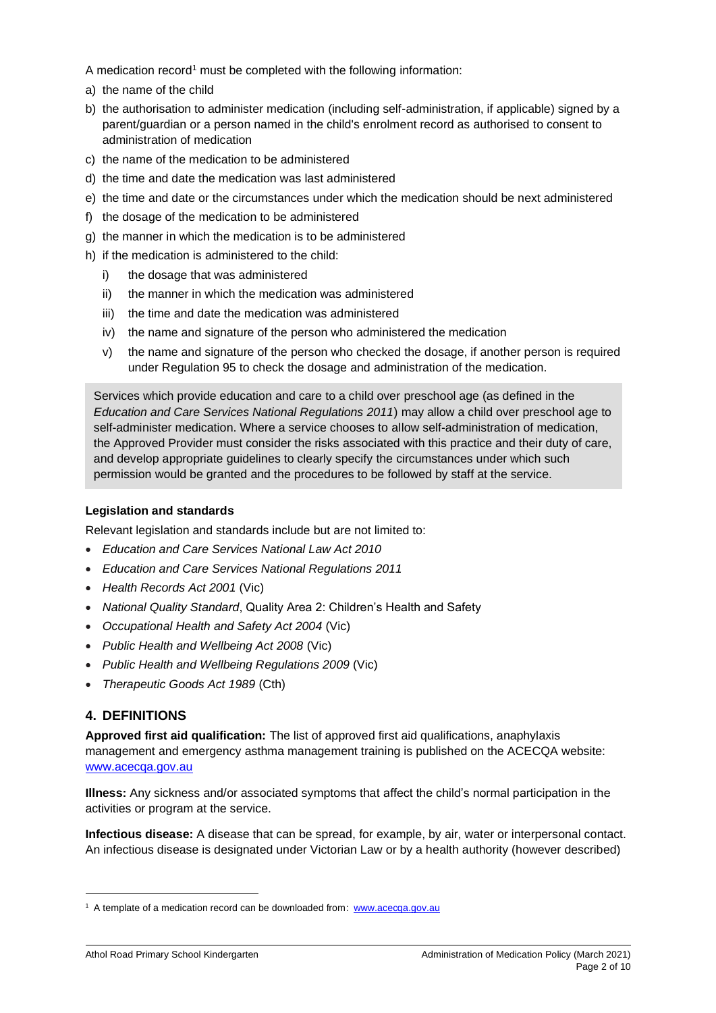A medication record<sup>1</sup> must be completed with the following information:

- a) the name of the child
- b) the authorisation to administer medication (including self-administration, if applicable) signed by a parent/guardian or a person named in the child's enrolment record as authorised to consent to administration of medication
- c) the name of the medication to be administered
- d) the time and date the medication was last administered
- e) the time and date or the circumstances under which the medication should be next administered
- f) the dosage of the medication to be administered
- g) the manner in which the medication is to be administered
- h) if the medication is administered to the child:
	- i) the dosage that was administered
	- ii) the manner in which the medication was administered
	- iii) the time and date the medication was administered
	- iv) the name and signature of the person who administered the medication
	- v) the name and signature of the person who checked the dosage, if another person is required under Regulation 95 to check the dosage and administration of the medication.

Services which provide education and care to a child over preschool age (as defined in the *Education and Care Services National Regulations 2011*) may allow a child over preschool age to self-administer medication. Where a service chooses to allow self-administration of medication, the Approved Provider must consider the risks associated with this practice and their duty of care, and develop appropriate guidelines to clearly specify the circumstances under which such permission would be granted and the procedures to be followed by staff at the service.

### **Legislation and standards**

Relevant legislation and standards include but are not limited to:

- *Education and Care Services National Law Act 2010*
- *Education and Care Services National Regulations 2011*
- *Health Records Act 2001* (Vic)
- *National Quality Standard*, Quality Area 2: Children's Health and Safety
- *Occupational Health and Safety Act 2004* (Vic)
- *Public Health and Wellbeing Act 2008* (Vic)
- *Public Health and Wellbeing Regulations 2009* (Vic)
- *Therapeutic Goods Act 1989* (Cth)

## **4. DEFINITIONS**

**Approved first aid qualification:** The list of approved first aid qualifications, anaphylaxis management and emergency asthma management training is published on the ACECQA website: [www.acecqa.gov.au](http://www.acecqa.gov.au/)

**Illness:** Any sickness and/or associated symptoms that affect the child's normal participation in the activities or program at the service.

**Infectious disease:** A disease that can be spread, for example, by air, water or interpersonal contact. An infectious disease is designated under Victorian Law or by a health authority (however described)

<sup>&</sup>lt;sup>1</sup> A template of a medication record can be downloaded from: [www.acecqa.gov.au](http://www.acecqa.gov.au/)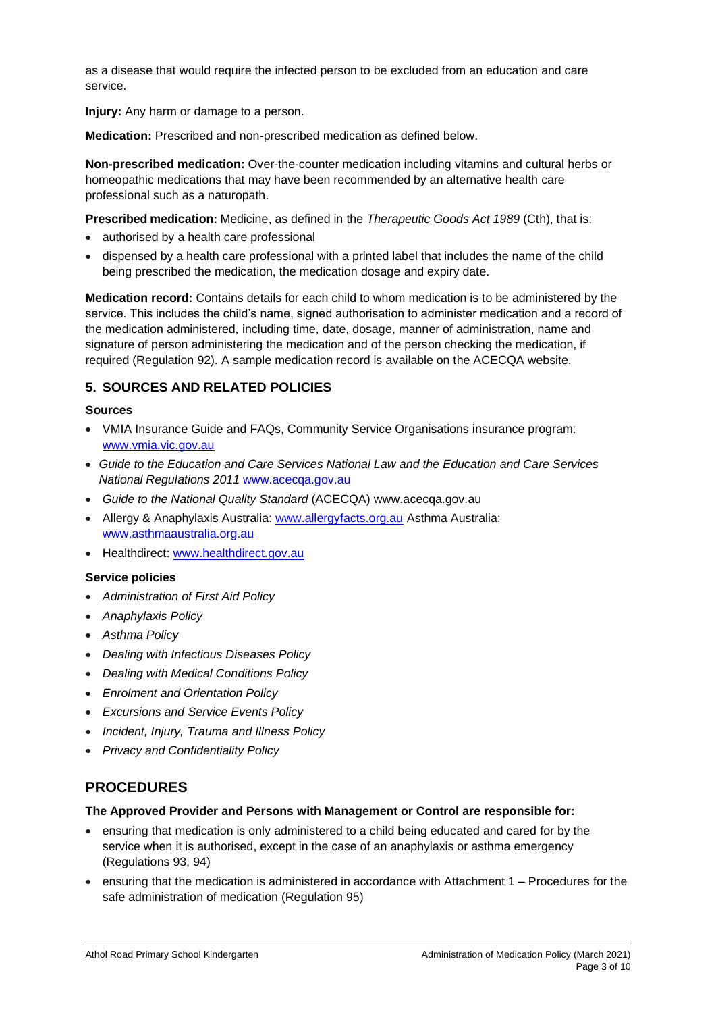as a disease that would require the infected person to be excluded from an education and care service.

**Injury:** Any harm or damage to a person.

**Medication:** Prescribed and non-prescribed medication as defined below.

**Non-prescribed medication:** Over-the-counter medication including vitamins and cultural herbs or homeopathic medications that may have been recommended by an alternative health care professional such as a naturopath.

**Prescribed medication:** Medicine, as defined in the *Therapeutic Goods Act 1989* (Cth), that is:

- authorised by a health care professional
- dispensed by a health care professional with a printed label that includes the name of the child being prescribed the medication, the medication dosage and expiry date.

**Medication record:** Contains details for each child to whom medication is to be administered by the service. This includes the child's name, signed authorisation to administer medication and a record of the medication administered, including time, date, dosage, manner of administration, name and signature of person administering the medication and of the person checking the medication, if required (Regulation 92). A sample medication record is available on the ACECQA website.

## **5. SOURCES AND RELATED POLICIES**

#### **Sources**

- VMIA Insurance Guide and FAQs, Community Service Organisations insurance program: [www.vmia.vic.gov.au](http://www.vmia.vic.gov.au/)
- *Guide to the Education and Care Services National Law and the Education and Care Services National Regulations 2011* [www.acecqa.gov.au](http://www.acecqa.gov.au/)
- *Guide to the National Quality Standard* (ACECQA) www.acecqa.gov.au
- Allergy & Anaphylaxis Australia: [www.allergyfacts.org.au](http://www.allergyfacts.org.au/) Asthma Australia: [www.asthmaaustralia.org.au](http://www.asthmaaustralia.org.au/)
- Healthdirect: [www.healthdirect.gov.au](http://www.healthdirect.gov.au/)

### **Service policies**

- *Administration of First Aid Policy*
- *Anaphylaxis Policy*
- *Asthma Policy*
- *Dealing with Infectious Diseases Policy*
- *Dealing with Medical Conditions Policy*
- *Enrolment and Orientation Policy*
- *Excursions and Service Events Policy*
- *Incident, Injury, Trauma and Illness Policy*
- *Privacy and Confidentiality Policy*

## **PROCEDURES**

#### **The Approved Provider and Persons with Management or Control are responsible for:**

- ensuring that medication is only administered to a child being educated and cared for by the service when it is authorised, except in the case of an anaphylaxis or asthma emergency (Regulations 93, 94)
- ensuring that the medication is administered in accordance with Attachment 1 Procedures for the safe administration of medication (Regulation 95)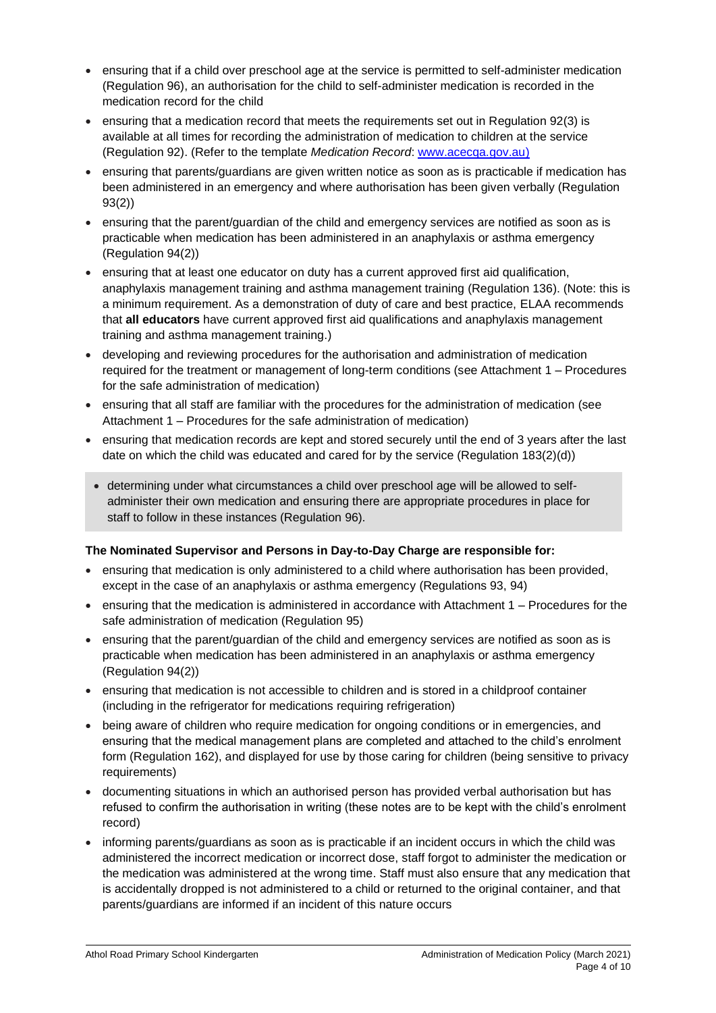- ensuring that if a child over preschool age at the service is permitted to self-administer medication (Regulation 96), an authorisation for the child to self-administer medication is recorded in the medication record for the child
- ensuring that a medication record that meets the requirements set out in Regulation 92(3) is available at all times for recording the administration of medication to children at the service (Regulation 92). (Refer to the template *Medication Record*: [www.acecqa.gov.au\)](http://www.acecqa.gov.au/)
- ensuring that parents/guardians are given written notice as soon as is practicable if medication has been administered in an emergency and where authorisation has been given verbally (Regulation 93(2))
- ensuring that the parent/guardian of the child and emergency services are notified as soon as is practicable when medication has been administered in an anaphylaxis or asthma emergency (Regulation 94(2))
- ensuring that at least one educator on duty has a current approved first aid qualification, anaphylaxis management training and asthma management training (Regulation 136). (Note: this is a minimum requirement. As a demonstration of duty of care and best practice, ELAA recommends that **all educators** have current approved first aid qualifications and anaphylaxis management training and asthma management training.)
- developing and reviewing procedures for the authorisation and administration of medication required for the treatment or management of long-term conditions (see Attachment 1 – Procedures for the safe administration of medication)
- ensuring that all staff are familiar with the procedures for the administration of medication (see Attachment 1 – Procedures for the safe administration of medication)
- ensuring that medication records are kept and stored securely until the end of 3 years after the last date on which the child was educated and cared for by the service (Regulation 183(2)(d))
- determining under what circumstances a child over preschool age will be allowed to selfadminister their own medication and ensuring there are appropriate procedures in place for staff to follow in these instances (Regulation 96).

### **The Nominated Supervisor and Persons in Day-to-Day Charge are responsible for:**

- ensuring that medication is only administered to a child where authorisation has been provided, except in the case of an anaphylaxis or asthma emergency (Regulations 93, 94)
- ensuring that the medication is administered in accordance with Attachment 1 Procedures for the safe administration of medication (Regulation 95)
- ensuring that the parent/guardian of the child and emergency services are notified as soon as is practicable when medication has been administered in an anaphylaxis or asthma emergency (Regulation 94(2))
- ensuring that medication is not accessible to children and is stored in a childproof container (including in the refrigerator for medications requiring refrigeration)
- being aware of children who require medication for ongoing conditions or in emergencies, and ensuring that the medical management plans are completed and attached to the child's enrolment form (Regulation 162), and displayed for use by those caring for children (being sensitive to privacy requirements)
- documenting situations in which an authorised person has provided verbal authorisation but has refused to confirm the authorisation in writing (these notes are to be kept with the child's enrolment record)
- informing parents/guardians as soon as is practicable if an incident occurs in which the child was administered the incorrect medication or incorrect dose, staff forgot to administer the medication or the medication was administered at the wrong time. Staff must also ensure that any medication that is accidentally dropped is not administered to a child or returned to the original container, and that parents/guardians are informed if an incident of this nature occurs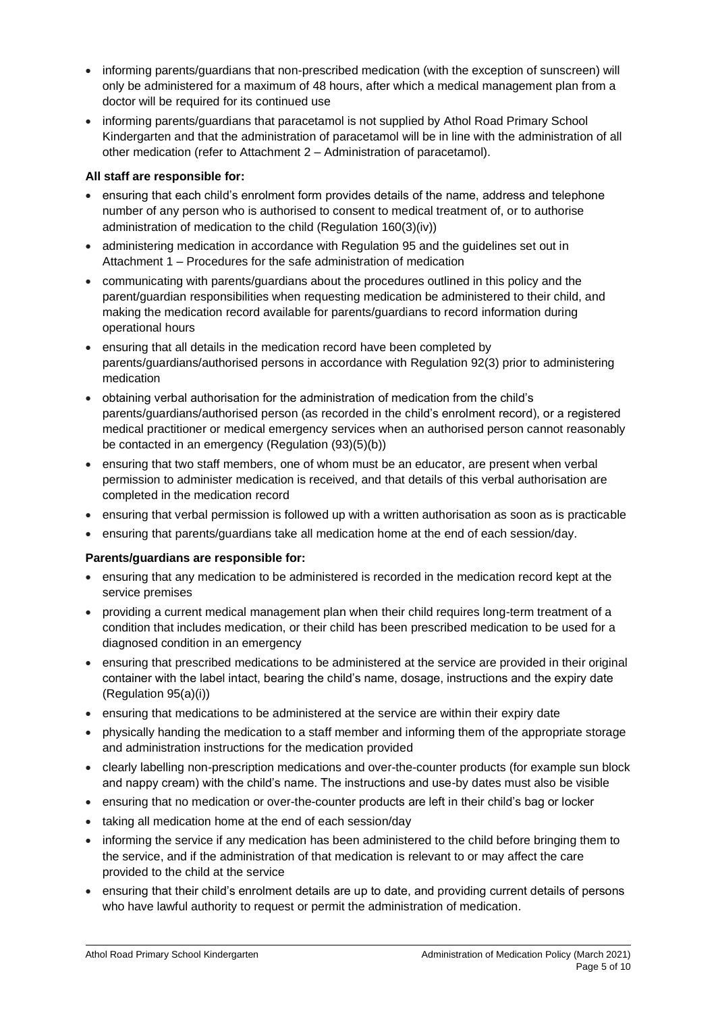- informing parents/guardians that non-prescribed medication (with the exception of sunscreen) will only be administered for a maximum of 48 hours, after which a medical management plan from a doctor will be required for its continued use
- informing parents/guardians that paracetamol is not supplied by Athol Road Primary School Kindergarten and that the administration of paracetamol will be in line with the administration of all other medication (refer to Attachment 2 – Administration of paracetamol).

### **All staff are responsible for:**

- ensuring that each child's enrolment form provides details of the name, address and telephone number of any person who is authorised to consent to medical treatment of, or to authorise administration of medication to the child (Regulation 160(3)(iv))
- administering medication in accordance with Regulation 95 and the guidelines set out in Attachment 1 – Procedures for the safe administration of medication
- communicating with parents/guardians about the procedures outlined in this policy and the parent/guardian responsibilities when requesting medication be administered to their child, and making the medication record available for parents/guardians to record information during operational hours
- ensuring that all details in the medication record have been completed by parents/guardians/authorised persons in accordance with Regulation 92(3) prior to administering medication
- obtaining verbal authorisation for the administration of medication from the child's parents/guardians/authorised person (as recorded in the child's enrolment record), or a registered medical practitioner or medical emergency services when an authorised person cannot reasonably be contacted in an emergency (Regulation (93)(5)(b))
- ensuring that two staff members, one of whom must be an educator, are present when verbal permission to administer medication is received, and that details of this verbal authorisation are completed in the medication record
- ensuring that verbal permission is followed up with a written authorisation as soon as is practicable
- ensuring that parents/guardians take all medication home at the end of each session/day.

### **Parents/guardians are responsible for:**

- ensuring that any medication to be administered is recorded in the medication record kept at the service premises
- providing a current medical management plan when their child requires long-term treatment of a condition that includes medication, or their child has been prescribed medication to be used for a diagnosed condition in an emergency
- ensuring that prescribed medications to be administered at the service are provided in their original container with the label intact, bearing the child's name, dosage, instructions and the expiry date (Regulation 95(a)(i))
- ensuring that medications to be administered at the service are within their expiry date
- physically handing the medication to a staff member and informing them of the appropriate storage and administration instructions for the medication provided
- clearly labelling non-prescription medications and over-the-counter products (for example sun block and nappy cream) with the child's name. The instructions and use-by dates must also be visible
- ensuring that no medication or over-the-counter products are left in their child's bag or locker
- taking all medication home at the end of each session/day
- informing the service if any medication has been administered to the child before bringing them to the service, and if the administration of that medication is relevant to or may affect the care provided to the child at the service
- ensuring that their child's enrolment details are up to date, and providing current details of persons who have lawful authority to request or permit the administration of medication.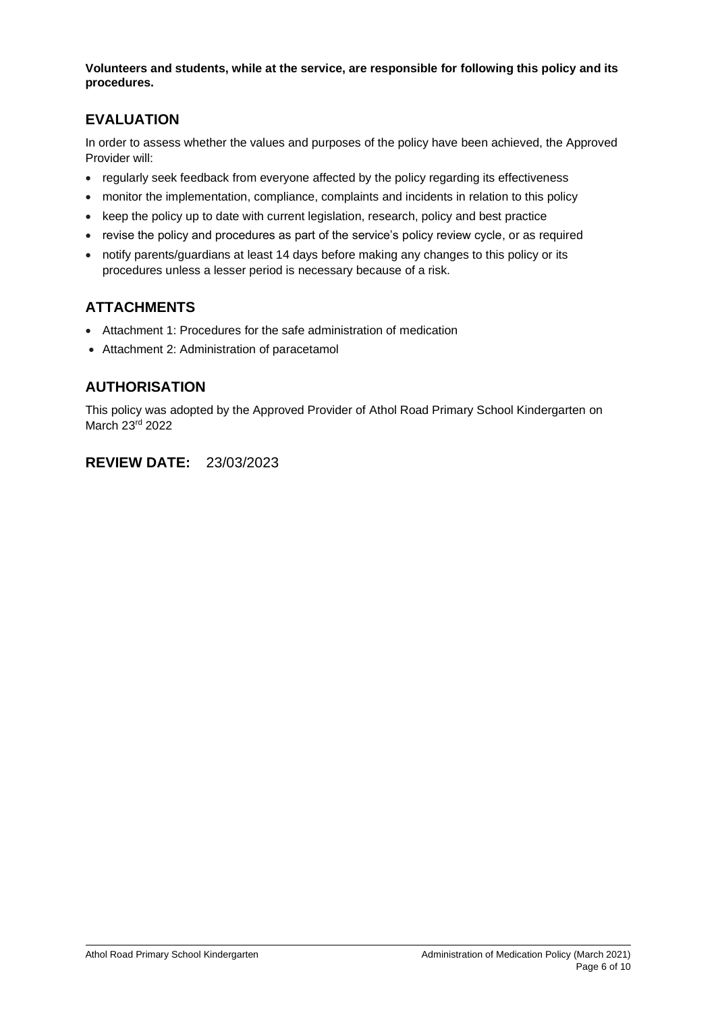**Volunteers and students, while at the service, are responsible for following this policy and its procedures.**

## **EVALUATION**

In order to assess whether the values and purposes of the policy have been achieved, the Approved Provider will:

- regularly seek feedback from everyone affected by the policy regarding its effectiveness
- monitor the implementation, compliance, complaints and incidents in relation to this policy
- keep the policy up to date with current legislation, research, policy and best practice
- revise the policy and procedures as part of the service's policy review cycle, or as required
- notify parents/guardians at least 14 days before making any changes to this policy or its procedures unless a lesser period is necessary because of a risk.

## **ATTACHMENTS**

- Attachment 1: Procedures for the safe administration of medication
- Attachment 2: Administration of paracetamol

## **AUTHORISATION**

This policy was adopted by the Approved Provider of Athol Road Primary School Kindergarten on March 23rd 2022

## **REVIEW DATE:** 23/03/2023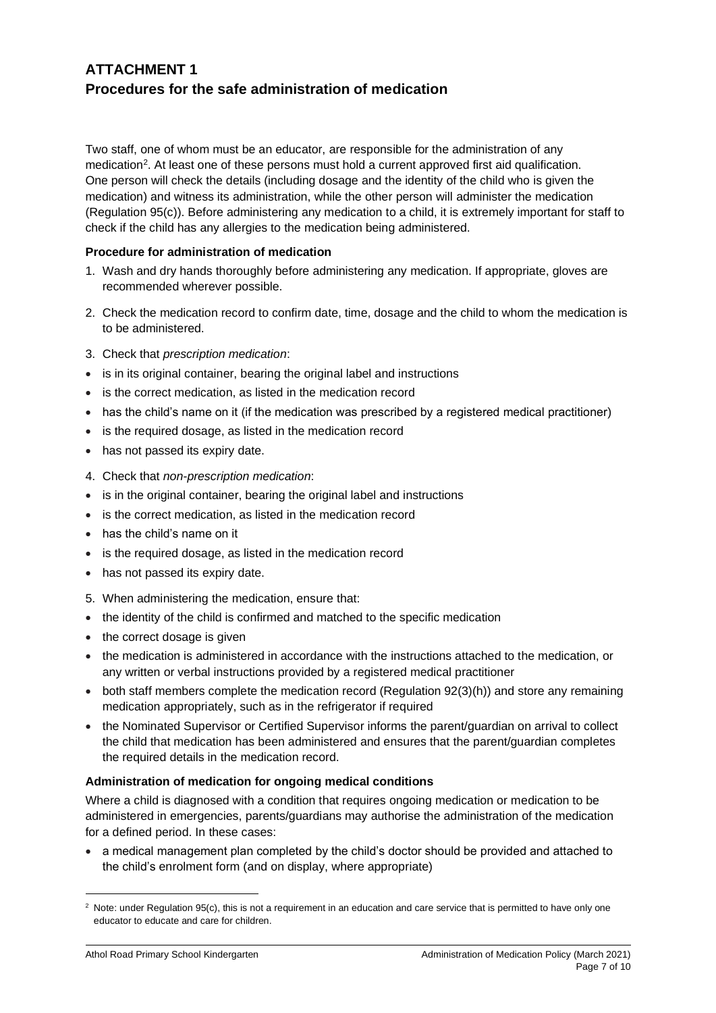## **ATTACHMENT 1 Procedures for the safe administration of medication**

Two staff, one of whom must be an educator, are responsible for the administration of any medication<sup>2</sup>. At least one of these persons must hold a current approved first aid qualification. One person will check the details (including dosage and the identity of the child who is given the medication) and witness its administration, while the other person will administer the medication (Regulation 95(c)). Before administering any medication to a child, it is extremely important for staff to check if the child has any allergies to the medication being administered.

#### **Procedure for administration of medication**

- 1. Wash and dry hands thoroughly before administering any medication. If appropriate, gloves are recommended wherever possible.
- 2. Check the medication record to confirm date, time, dosage and the child to whom the medication is to be administered.
- 3. Check that *prescription medication*:
- is in its original container, bearing the original label and instructions
- is the correct medication, as listed in the medication record
- has the child's name on it (if the medication was prescribed by a registered medical practitioner)
- is the required dosage, as listed in the medication record
- has not passed its expiry date.
- 4. Check that *non-prescription medication*:
- is in the original container, bearing the original label and instructions
- is the correct medication, as listed in the medication record
- has the child's name on it
- is the required dosage, as listed in the medication record
- has not passed its expiry date.
- 5. When administering the medication, ensure that:
- the identity of the child is confirmed and matched to the specific medication
- the correct dosage is given
- the medication is administered in accordance with the instructions attached to the medication, or any written or verbal instructions provided by a registered medical practitioner
- both staff members complete the medication record (Regulation 92(3)(h)) and store any remaining medication appropriately, such as in the refrigerator if required
- the Nominated Supervisor or Certified Supervisor informs the parent/guardian on arrival to collect the child that medication has been administered and ensures that the parent/guardian completes the required details in the medication record.

#### **Administration of medication for ongoing medical conditions**

Where a child is diagnosed with a condition that requires ongoing medication or medication to be administered in emergencies, parents/guardians may authorise the administration of the medication for a defined period. In these cases:

• a medical management plan completed by the child's doctor should be provided and attached to the child's enrolment form (and on display, where appropriate)

<sup>&</sup>lt;sup>2</sup> Note: under Regulation 95(c), this is not a requirement in an education and care service that is permitted to have only one educator to educate and care for children.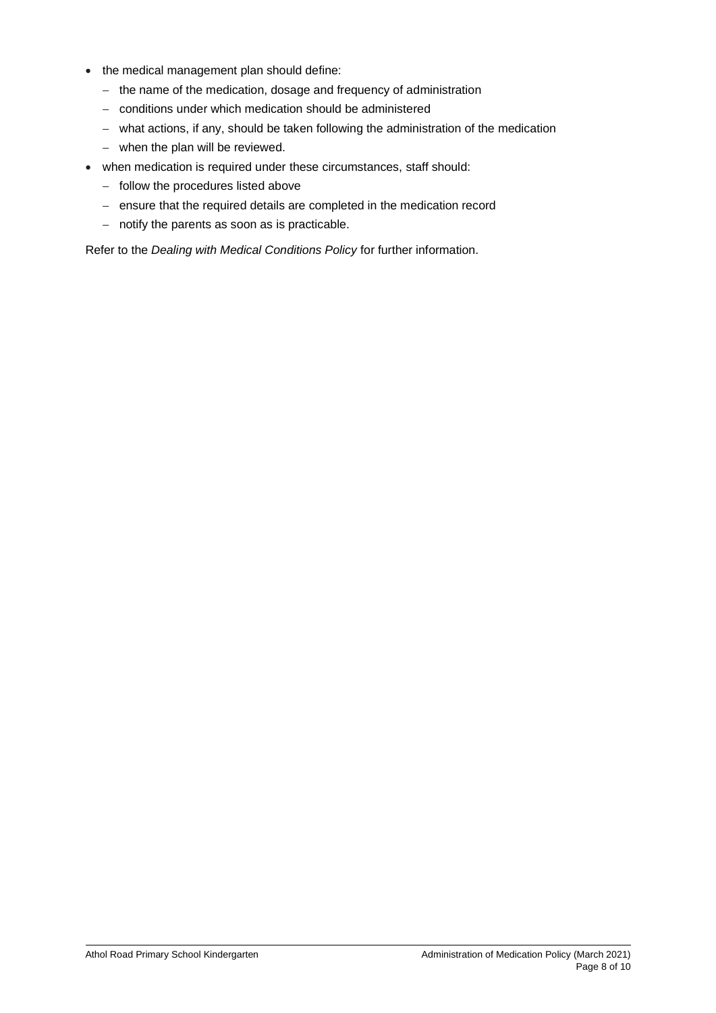- the medical management plan should define:
	- − the name of the medication, dosage and frequency of administration
	- − conditions under which medication should be administered
	- − what actions, if any, should be taken following the administration of the medication
	- − when the plan will be reviewed.
- when medication is required under these circumstances, staff should:
	- − follow the procedures listed above
	- − ensure that the required details are completed in the medication record
	- − notify the parents as soon as is practicable.

Refer to the *Dealing with Medical Conditions Policy* for further information.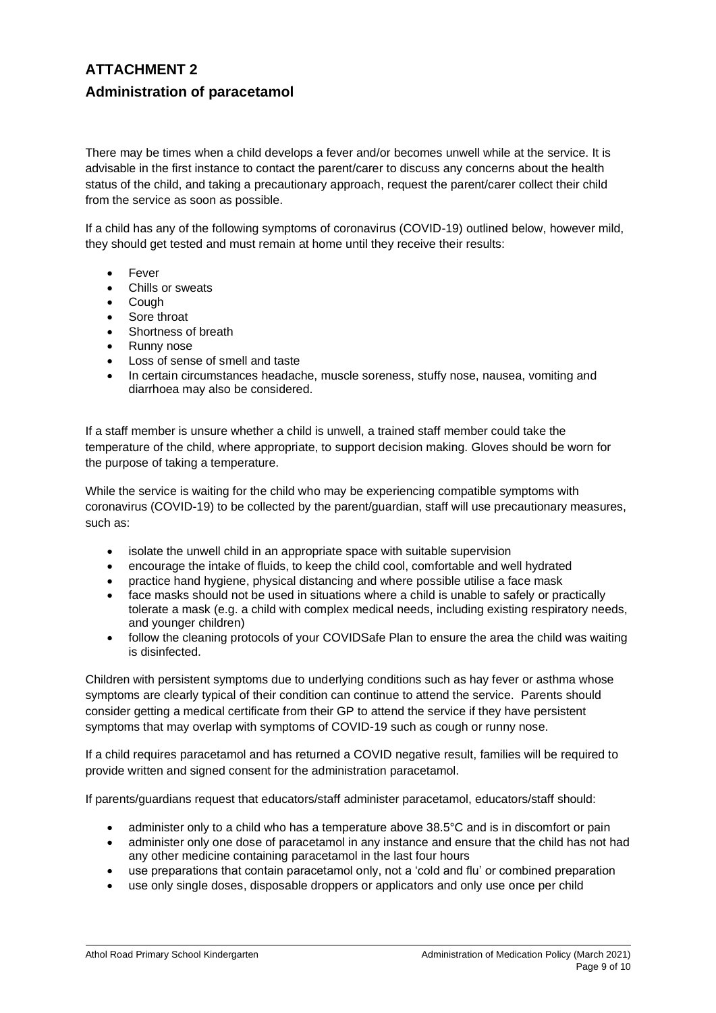## **ATTACHMENT 2 Administration of paracetamol**

There may be times when a child develops a fever and/or becomes unwell while at the service. It is advisable in the first instance to contact the parent/carer to discuss any concerns about the health status of the child, and taking a precautionary approach, request the parent/carer collect their child from the service as soon as possible.

If a child has any of the following symptoms of coronavirus (COVID-19) outlined below, however mild, they should get tested and must remain at home until they receive their results:

- **Fever**
- Chills or sweats
- Cough
- Sore throat
- Shortness of breath
- Runny nose
- Loss of sense of smell and taste
- In certain circumstances headache, muscle soreness, stuffy nose, nausea, vomiting and diarrhoea may also be considered.

If a staff member is unsure whether a child is unwell, a trained staff member could take the temperature of the child, where appropriate, to support decision making. Gloves should be worn for the purpose of taking a temperature.

While the service is waiting for the child who may be experiencing compatible symptoms with coronavirus (COVID-19) to be collected by the parent/guardian, staff will use precautionary measures, such as:

- isolate the unwell child in an appropriate space with suitable supervision
- encourage the intake of fluids, to keep the child cool, comfortable and well hydrated
- practice hand hygiene, physical distancing and where possible utilise a face mask
- face masks should not be used in situations where a child is unable to safely or practically tolerate a mask (e.g. a child with complex medical needs, including existing respiratory needs, and younger children)
- follow the cleaning protocols of your COVIDSafe Plan to ensure the area the child was waiting is disinfected.

Children with persistent symptoms due to underlying conditions such as hay fever or asthma whose symptoms are clearly typical of their condition can continue to attend the service. Parents should consider getting a medical certificate from their GP to attend the service if they have persistent symptoms that may overlap with symptoms of COVID-19 such as cough or runny nose.

If a child requires paracetamol and has returned a COVID negative result, families will be required to provide written and signed consent for the administration paracetamol.

If parents/guardians request that educators/staff administer paracetamol, educators/staff should:

- administer only to a child who has a temperature above 38.5°C and is in discomfort or pain
- administer only one dose of paracetamol in any instance and ensure that the child has not had any other medicine containing paracetamol in the last four hours
- use preparations that contain paracetamol only, not a 'cold and flu' or combined preparation
- use only single doses, disposable droppers or applicators and only use once per child